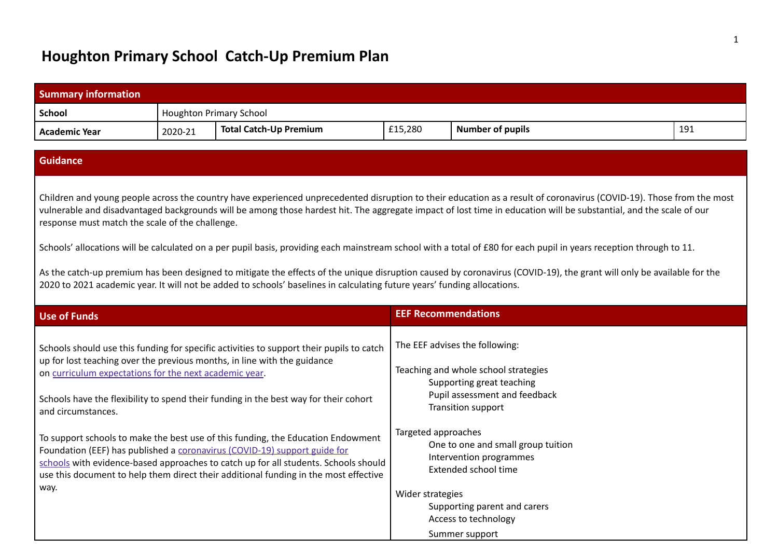## **Houghton Primary School Catch-Up Premium Plan**

| <b>Summary information</b>                                                                                                                                                                                                                                                                                                                                                                                                                                                                                                                                                                                                                                                                                                                                                                                                                                                                                                                                                                                                                                                       |         |                                |                            |                         |     |
|----------------------------------------------------------------------------------------------------------------------------------------------------------------------------------------------------------------------------------------------------------------------------------------------------------------------------------------------------------------------------------------------------------------------------------------------------------------------------------------------------------------------------------------------------------------------------------------------------------------------------------------------------------------------------------------------------------------------------------------------------------------------------------------------------------------------------------------------------------------------------------------------------------------------------------------------------------------------------------------------------------------------------------------------------------------------------------|---------|--------------------------------|----------------------------|-------------------------|-----|
| <b>School</b>                                                                                                                                                                                                                                                                                                                                                                                                                                                                                                                                                                                                                                                                                                                                                                                                                                                                                                                                                                                                                                                                    |         | <b>Houghton Primary School</b> |                            |                         |     |
| <b>Academic Year</b>                                                                                                                                                                                                                                                                                                                                                                                                                                                                                                                                                                                                                                                                                                                                                                                                                                                                                                                                                                                                                                                             | 2020-21 | <b>Total Catch-Up Premium</b>  | £15,280                    | <b>Number of pupils</b> | 191 |
|                                                                                                                                                                                                                                                                                                                                                                                                                                                                                                                                                                                                                                                                                                                                                                                                                                                                                                                                                                                                                                                                                  |         |                                |                            |                         |     |
| <b>Guidance</b>                                                                                                                                                                                                                                                                                                                                                                                                                                                                                                                                                                                                                                                                                                                                                                                                                                                                                                                                                                                                                                                                  |         |                                |                            |                         |     |
| Children and young people across the country have experienced unprecedented disruption to their education as a result of coronavirus (COVID-19). Those from the most<br>vulnerable and disadvantaged backgrounds will be among those hardest hit. The aggregate impact of lost time in education will be substantial, and the scale of our<br>response must match the scale of the challenge.<br>Schools' allocations will be calculated on a per pupil basis, providing each mainstream school with a total of £80 for each pupil in years reception through to 11.<br>As the catch-up premium has been designed to mitigate the effects of the unique disruption caused by coronavirus (COVID-19), the grant will only be available for the<br>2020 to 2021 academic year. It will not be added to schools' baselines in calculating future years' funding allocations.                                                                                                                                                                                                        |         |                                |                            |                         |     |
| <b>Use of Funds</b>                                                                                                                                                                                                                                                                                                                                                                                                                                                                                                                                                                                                                                                                                                                                                                                                                                                                                                                                                                                                                                                              |         |                                | <b>EEF Recommendations</b> |                         |     |
| The EEF advises the following:<br>Schools should use this funding for specific activities to support their pupils to catch<br>up for lost teaching over the previous months, in line with the guidance<br>Teaching and whole school strategies<br>on curriculum expectations for the next academic year.<br>Supporting great teaching<br>Pupil assessment and feedback<br>Schools have the flexibility to spend their funding in the best way for their cohort<br>Transition support<br>and circumstances.<br>Targeted approaches<br>To support schools to make the best use of this funding, the Education Endowment<br>One to one and small group tuition<br>Foundation (EEF) has published a coronavirus (COVID-19) support guide for<br>Intervention programmes<br>schools with evidence-based approaches to catch up for all students. Schools should<br>Extended school time<br>use this document to help them direct their additional funding in the most effective<br>way.<br>Wider strategies<br>Supporting parent and carers<br>Access to technology<br>Summer support |         |                                |                            |                         |     |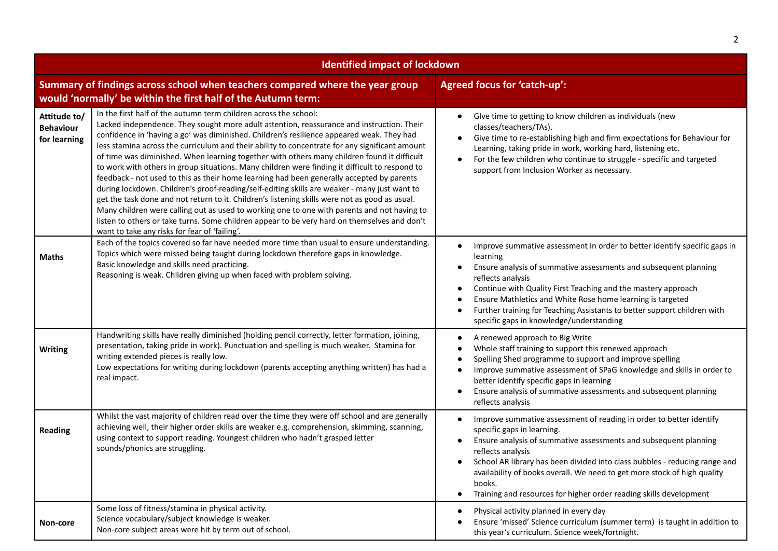| <b>Identified impact of lockdown</b>             |                                                                                                                                                                                                                                                                                                                                                                                                                                                                                                                                                                                                                                                                                                                                                                                                                                                                                                                                                                                                                                                                                                              |                                                                                                                                                                                                                                                                                                                                                                                                                                                    |  |  |
|--------------------------------------------------|--------------------------------------------------------------------------------------------------------------------------------------------------------------------------------------------------------------------------------------------------------------------------------------------------------------------------------------------------------------------------------------------------------------------------------------------------------------------------------------------------------------------------------------------------------------------------------------------------------------------------------------------------------------------------------------------------------------------------------------------------------------------------------------------------------------------------------------------------------------------------------------------------------------------------------------------------------------------------------------------------------------------------------------------------------------------------------------------------------------|----------------------------------------------------------------------------------------------------------------------------------------------------------------------------------------------------------------------------------------------------------------------------------------------------------------------------------------------------------------------------------------------------------------------------------------------------|--|--|
|                                                  | Summary of findings across school when teachers compared where the year group<br>would 'normally' be within the first half of the Autumn term:                                                                                                                                                                                                                                                                                                                                                                                                                                                                                                                                                                                                                                                                                                                                                                                                                                                                                                                                                               | <b>Agreed focus for 'catch-up':</b>                                                                                                                                                                                                                                                                                                                                                                                                                |  |  |
| Attitude to/<br><b>Behaviour</b><br>for learning | In the first half of the autumn term children across the school:<br>Lacked independence. They sought more adult attention, reassurance and instruction. Their<br>confidence in 'having a go' was diminished. Children's resilience appeared weak. They had<br>less stamina across the curriculum and their ability to concentrate for any significant amount<br>of time was diminished. When learning together with others many children found it difficult<br>to work with others in group situations. Many children were finding it difficult to respond to<br>feedback - not used to this as their home learning had been generally accepted by parents<br>during lockdown. Children's proof-reading/self-editing skills are weaker - many just want to<br>get the task done and not return to it. Children's listening skills were not as good as usual.<br>Many children were calling out as used to working one to one with parents and not having to<br>listen to others or take turns. Some children appear to be very hard on themselves and don't<br>want to take any risks for fear of 'failing'. | Give time to getting to know children as individuals (new<br>classes/teachers/TAs).<br>Give time to re-establishing high and firm expectations for Behaviour for<br>Learning, taking pride in work, working hard, listening etc.<br>For the few children who continue to struggle - specific and targeted<br>$\bullet$<br>support from Inclusion Worker as necessary.                                                                              |  |  |
| <b>Maths</b>                                     | Each of the topics covered so far have needed more time than usual to ensure understanding.<br>Topics which were missed being taught during lockdown therefore gaps in knowledge.<br>Basic knowledge and skills need practicing.<br>Reasoning is weak. Children giving up when faced with problem solving.                                                                                                                                                                                                                                                                                                                                                                                                                                                                                                                                                                                                                                                                                                                                                                                                   | Improve summative assessment in order to better identify specific gaps in<br>learning<br>Ensure analysis of summative assessments and subsequent planning<br>$\bullet$<br>reflects analysis<br>Continue with Quality First Teaching and the mastery approach<br>Ensure Mathletics and White Rose home learning is targeted<br>Further training for Teaching Assistants to better support children with<br>specific gaps in knowledge/understanding |  |  |
| <b>Writing</b>                                   | Handwriting skills have really diminished (holding pencil correctly, letter formation, joining,<br>presentation, taking pride in work). Punctuation and spelling is much weaker. Stamina for<br>writing extended pieces is really low.<br>Low expectations for writing during lockdown (parents accepting anything written) has had a<br>real impact.                                                                                                                                                                                                                                                                                                                                                                                                                                                                                                                                                                                                                                                                                                                                                        | A renewed approach to Big Write<br>Whole staff training to support this renewed approach<br>-<br>Spelling Shed programme to support and improve spelling<br>Improve summative assessment of SPaG knowledge and skills in order to<br>better identify specific gaps in learning<br>Ensure analysis of summative assessments and subsequent planning<br>reflects analysis                                                                            |  |  |
| <b>Reading</b>                                   | Whilst the vast majority of children read over the time they were off school and are generally<br>achieving well, their higher order skills are weaker e.g. comprehension, skimming, scanning,<br>using context to support reading. Youngest children who hadn't grasped letter<br>sounds/phonics are struggling.                                                                                                                                                                                                                                                                                                                                                                                                                                                                                                                                                                                                                                                                                                                                                                                            | Improve summative assessment of reading in order to better identify<br>specific gaps in learning.<br>Ensure analysis of summative assessments and subsequent planning<br>reflects analysis<br>School AR library has been divided into class bubbles - reducing range and<br>availability of books overall. We need to get more stock of high quality<br>books.<br>Training and resources for higher order reading skills development<br>$\bullet$  |  |  |
| Non-core                                         | Some loss of fitness/stamina in physical activity.<br>Science vocabulary/subject knowledge is weaker.<br>Non-core subject areas were hit by term out of school.                                                                                                                                                                                                                                                                                                                                                                                                                                                                                                                                                                                                                                                                                                                                                                                                                                                                                                                                              | Physical activity planned in every day<br>Ensure 'missed' Science curriculum (summer term) is taught in addition to<br>this year's curriculum. Science week/fortnight.                                                                                                                                                                                                                                                                             |  |  |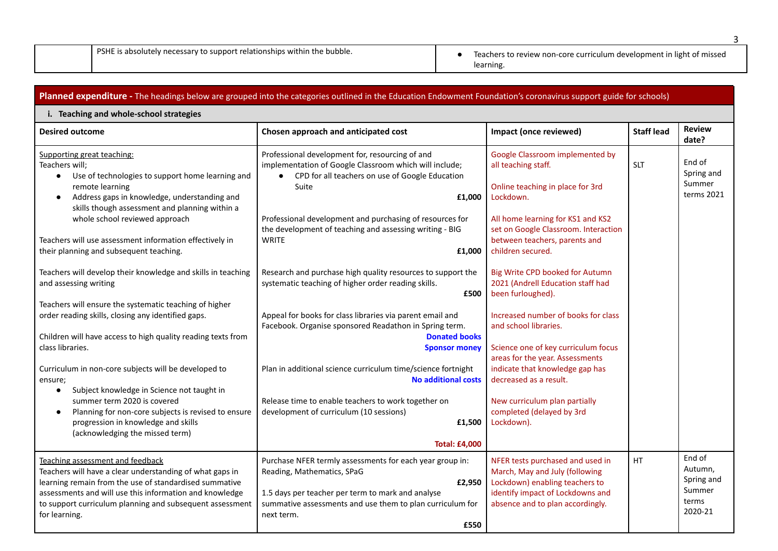PSHE is absolutely necessary to support relationships within the bubble. <br>
• Teachers to review non-core curriculum development in light of missed learning.

|                                                                                                                                                                                                                                                                                                                                              | Planned expenditure - The headings below are grouped into the categories outlined in the Education Endowment Foundation's coronavirus support guide for schools)                                                                                                                                                                    |                                                                                                                                                                                                                       |                   |                                                               |  |
|----------------------------------------------------------------------------------------------------------------------------------------------------------------------------------------------------------------------------------------------------------------------------------------------------------------------------------------------|-------------------------------------------------------------------------------------------------------------------------------------------------------------------------------------------------------------------------------------------------------------------------------------------------------------------------------------|-----------------------------------------------------------------------------------------------------------------------------------------------------------------------------------------------------------------------|-------------------|---------------------------------------------------------------|--|
| i. Teaching and whole-school strategies                                                                                                                                                                                                                                                                                                      |                                                                                                                                                                                                                                                                                                                                     |                                                                                                                                                                                                                       |                   |                                                               |  |
| <b>Desired outcome</b>                                                                                                                                                                                                                                                                                                                       | Chosen approach and anticipated cost                                                                                                                                                                                                                                                                                                | Impact (once reviewed)                                                                                                                                                                                                | <b>Staff lead</b> | <b>Review</b><br>date?                                        |  |
| Supporting great teaching:<br>Teachers will;<br>Use of technologies to support home learning and<br>$\bullet$<br>remote learning<br>Address gaps in knowledge, understanding and<br>$\bullet$<br>skills though assessment and planning within a<br>whole school reviewed approach<br>Teachers will use assessment information effectively in | Professional development for, resourcing of and<br>implementation of Google Classroom which will include;<br>CPD for all teachers on use of Google Education<br>$\bullet$<br>Suite<br>£1,000<br>Professional development and purchasing of resources for<br>the development of teaching and assessing writing - BIG<br><b>WRITE</b> | Google Classroom implemented by<br>all teaching staff.<br>Online teaching in place for 3rd<br>Lockdown.<br>All home learning for KS1 and KS2<br>set on Google Classroom. Interaction<br>between teachers, parents and | <b>SLT</b>        | End of<br>Spring and<br>Summer<br>terms 2021                  |  |
| their planning and subsequent teaching.<br>Teachers will develop their knowledge and skills in teaching<br>and assessing writing                                                                                                                                                                                                             | £1,000<br>Research and purchase high quality resources to support the<br>systematic teaching of higher order reading skills.                                                                                                                                                                                                        | children secured.<br>Big Write CPD booked for Autumn<br>2021 (Andrell Education staff had                                                                                                                             |                   |                                                               |  |
| Teachers will ensure the systematic teaching of higher<br>order reading skills, closing any identified gaps.                                                                                                                                                                                                                                 | £500<br>Appeal for books for class libraries via parent email and<br>Facebook. Organise sponsored Readathon in Spring term.                                                                                                                                                                                                         | been furloughed).<br>Increased number of books for class<br>and school libraries.                                                                                                                                     |                   |                                                               |  |
| Children will have access to high quality reading texts from<br>class libraries.                                                                                                                                                                                                                                                             | <b>Donated books</b><br><b>Sponsor money</b>                                                                                                                                                                                                                                                                                        | Science one of key curriculum focus<br>areas for the year. Assessments                                                                                                                                                |                   |                                                               |  |
| Curriculum in non-core subjects will be developed to<br>ensure;<br>Subject knowledge in Science not taught in<br>$\bullet$                                                                                                                                                                                                                   | Plan in additional science curriculum time/science fortnight<br><b>No additional costs</b>                                                                                                                                                                                                                                          | indicate that knowledge gap has<br>decreased as a result.                                                                                                                                                             |                   |                                                               |  |
| summer term 2020 is covered<br>Planning for non-core subjects is revised to ensure<br>$\bullet$<br>progression in knowledge and skills<br>(acknowledging the missed term)                                                                                                                                                                    | Release time to enable teachers to work together on<br>development of curriculum (10 sessions)<br>£1,500<br><b>Total: £4,000</b>                                                                                                                                                                                                    | New curriculum plan partially<br>completed (delayed by 3rd<br>Lockdown).                                                                                                                                              |                   |                                                               |  |
| Teaching assessment and feedback<br>Teachers will have a clear understanding of what gaps in<br>learning remain from the use of standardised summative<br>assessments and will use this information and knowledge<br>to support curriculum planning and subsequent assessment<br>for learning.                                               | Purchase NFER termly assessments for each year group in:<br>Reading, Mathematics, SPaG<br>£2,950<br>1.5 days per teacher per term to mark and analyse<br>summative assessments and use them to plan curriculum for<br>next term.<br>£550                                                                                            | NFER tests purchased and used in<br>March, May and July (following<br>Lockdown) enabling teachers to<br>identify impact of Lockdowns and<br>absence and to plan accordingly.                                          | <b>HT</b>         | End of<br>Autumn,<br>Spring and<br>Summer<br>terms<br>2020-21 |  |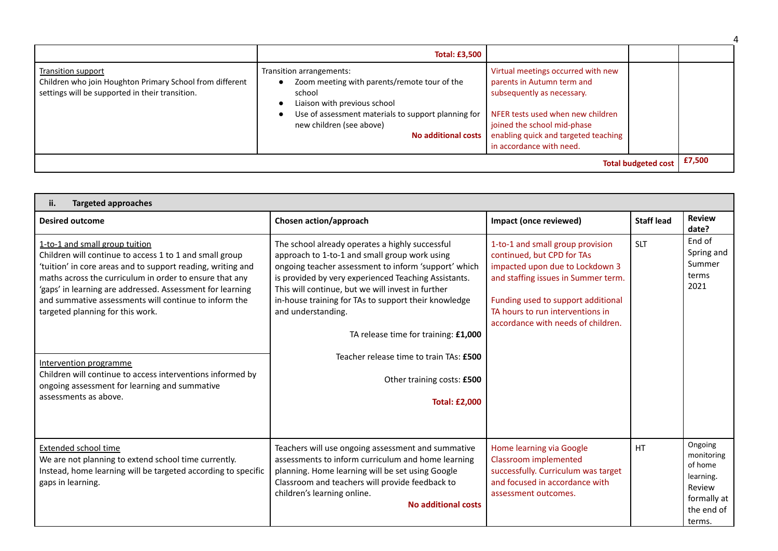|                                                                                                                                   | <b>Total: £3,500</b>                                                                                                                                                                                                         |                                                                                                                                                                                                                                        |  |
|-----------------------------------------------------------------------------------------------------------------------------------|------------------------------------------------------------------------------------------------------------------------------------------------------------------------------------------------------------------------------|----------------------------------------------------------------------------------------------------------------------------------------------------------------------------------------------------------------------------------------|--|
| Transition support<br>Children who join Houghton Primary School from different<br>settings will be supported in their transition. | Transition arrangements:<br>Zoom meeting with parents/remote tour of the<br>school<br>Liaison with previous school<br>Use of assessment materials to support planning for<br>new children (see above)<br>No additional costs | Virtual meetings occurred with new<br>parents in Autumn term and<br>subsequently as necessary.<br>NFER tests used when new children<br>joined the school mid-phase<br>enabling quick and targeted teaching<br>in accordance with need. |  |
| <b>Total budgeted cost</b>                                                                                                        |                                                                                                                                                                                                                              |                                                                                                                                                                                                                                        |  |

| <b>Targeted approaches</b><br>ii.                                                                                                                                                                                                                                                                                                                                                                                                                                                                                                               |                                                                                                                                                                                                                                                                                                                                                                                                                                                                                              |                                                                                                                                                                                                                                                          |                   |                                                                                                |  |
|-------------------------------------------------------------------------------------------------------------------------------------------------------------------------------------------------------------------------------------------------------------------------------------------------------------------------------------------------------------------------------------------------------------------------------------------------------------------------------------------------------------------------------------------------|----------------------------------------------------------------------------------------------------------------------------------------------------------------------------------------------------------------------------------------------------------------------------------------------------------------------------------------------------------------------------------------------------------------------------------------------------------------------------------------------|----------------------------------------------------------------------------------------------------------------------------------------------------------------------------------------------------------------------------------------------------------|-------------------|------------------------------------------------------------------------------------------------|--|
| <b>Desired outcome</b>                                                                                                                                                                                                                                                                                                                                                                                                                                                                                                                          | Chosen action/approach                                                                                                                                                                                                                                                                                                                                                                                                                                                                       | Impact (once reviewed)                                                                                                                                                                                                                                   | <b>Staff lead</b> | <b>Review</b><br>date?                                                                         |  |
| 1-to-1 and small group tuition<br>Children will continue to access 1 to 1 and small group<br>'tuition' in core areas and to support reading, writing and<br>maths across the curriculum in order to ensure that any<br>'gaps' in learning are addressed. Assessment for learning<br>and summative assessments will continue to inform the<br>targeted planning for this work.<br>Intervention programme<br>Children will continue to access interventions informed by<br>ongoing assessment for learning and summative<br>assessments as above. | The school already operates a highly successful<br>approach to 1-to-1 and small group work using<br>ongoing teacher assessment to inform 'support' which<br>is provided by very experienced Teaching Assistants.<br>This will continue, but we will invest in further<br>in-house training for TAs to support their knowledge<br>and understanding.<br>TA release time for training: £1,000<br>Teacher release time to train TAs: £500<br>Other training costs: £500<br><b>Total: £2,000</b> | 1-to-1 and small group provision<br>continued, but CPD for TAs<br>impacted upon due to Lockdown 3<br>and staffing issues in Summer term.<br>Funding used to support additional<br>TA hours to run interventions in<br>accordance with needs of children. | <b>SLT</b>        | End of<br>Spring and<br>Summer<br>terms<br>2021                                                |  |
| <b>Extended school time</b><br>We are not planning to extend school time currently.<br>Instead, home learning will be targeted according to specific<br>gaps in learning.                                                                                                                                                                                                                                                                                                                                                                       | Teachers will use ongoing assessment and summative<br>assessments to inform curriculum and home learning<br>planning. Home learning will be set using Google<br>Classroom and teachers will provide feedback to<br>children's learning online.<br><b>No additional costs</b>                                                                                                                                                                                                                 | Home learning via Google<br><b>Classroom implemented</b><br>successfully. Curriculum was target<br>and focused in accordance with<br>assessment outcomes.                                                                                                | <b>HT</b>         | Ongoing<br>monitoring<br>of home<br>learning.<br>Review<br>formally at<br>the end of<br>terms. |  |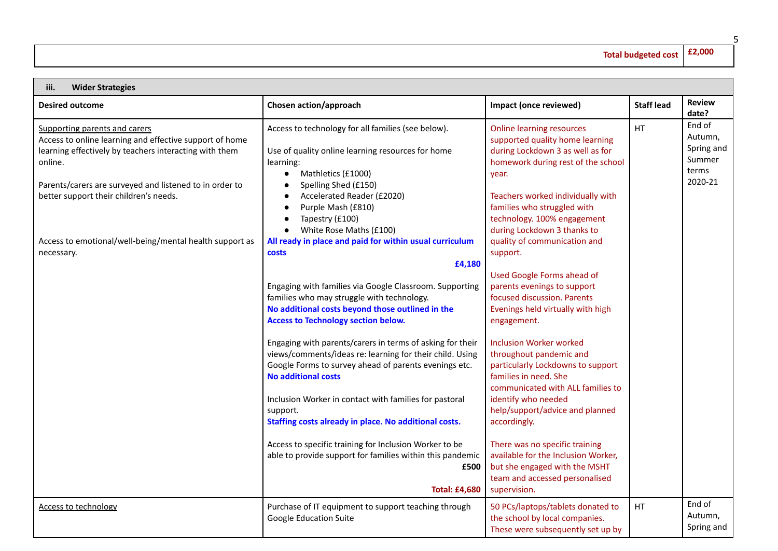## **Total budgeted cost £2,000**

| <b>Wider Strategies</b><br>iii.                                                                                                                                                                                                                                    |                                                                                                                                                                                                                                                                        |                                                                                                                                                                                                                            |                   |                                                               |
|--------------------------------------------------------------------------------------------------------------------------------------------------------------------------------------------------------------------------------------------------------------------|------------------------------------------------------------------------------------------------------------------------------------------------------------------------------------------------------------------------------------------------------------------------|----------------------------------------------------------------------------------------------------------------------------------------------------------------------------------------------------------------------------|-------------------|---------------------------------------------------------------|
| <b>Desired outcome</b>                                                                                                                                                                                                                                             | Chosen action/approach                                                                                                                                                                                                                                                 | Impact (once reviewed)                                                                                                                                                                                                     | <b>Staff lead</b> | <b>Review</b><br>date?                                        |
| Supporting parents and carers<br>Access to online learning and effective support of home<br>learning effectively by teachers interacting with them<br>online.<br>Parents/carers are surveyed and listened to in order to<br>better support their children's needs. | Access to technology for all families (see below).<br>Use of quality online learning resources for home<br>learning:<br>Mathletics (£1000)<br>$\bullet$<br>Spelling Shed (£150)<br>$\bullet$<br>Accelerated Reader (£2020)<br>Purple Mash (£810)                       | <b>Online learning resources</b><br>supported quality home learning<br>during Lockdown 3 as well as for<br>homework during rest of the school<br>year.<br>Teachers worked individually with<br>families who struggled with | HT                | End of<br>Autumn,<br>Spring and<br>Summer<br>terms<br>2020-21 |
| Access to emotional/well-being/mental health support as<br>necessary.                                                                                                                                                                                              | Tapestry (£100)<br>White Rose Maths (£100)<br>$\bullet$<br>All ready in place and paid for within usual curriculum<br>costs<br>£4,180                                                                                                                                  | technology. 100% engagement<br>during Lockdown 3 thanks to<br>quality of communication and<br>support.                                                                                                                     |                   |                                                               |
|                                                                                                                                                                                                                                                                    | Engaging with families via Google Classroom. Supporting<br>families who may struggle with technology.<br>No additional costs beyond those outlined in the<br><b>Access to Technology section below.</b>                                                                | <b>Used Google Forms ahead of</b><br>parents evenings to support<br>focused discussion. Parents<br>Evenings held virtually with high<br>engagement.                                                                        |                   |                                                               |
|                                                                                                                                                                                                                                                                    | Engaging with parents/carers in terms of asking for their<br>views/comments/ideas re: learning for their child. Using<br>Google Forms to survey ahead of parents evenings etc.<br><b>No additional costs</b><br>Inclusion Worker in contact with families for pastoral | <b>Inclusion Worker worked</b><br>throughout pandemic and<br>particularly Lockdowns to support<br>families in need. She<br>communicated with ALL families to<br>identify who needed                                        |                   |                                                               |
|                                                                                                                                                                                                                                                                    | support.<br>Staffing costs already in place. No additional costs.                                                                                                                                                                                                      | help/support/advice and planned<br>accordingly.                                                                                                                                                                            |                   |                                                               |
|                                                                                                                                                                                                                                                                    | Access to specific training for Inclusion Worker to be<br>able to provide support for families within this pandemic<br>£500<br><b>Total: £4,680</b>                                                                                                                    | There was no specific training<br>available for the Inclusion Worker,<br>but she engaged with the MSHT<br>team and accessed personalised<br>supervision.                                                                   |                   |                                                               |
| <u>Access to technology</u>                                                                                                                                                                                                                                        | Purchase of IT equipment to support teaching through<br>Google Education Suite                                                                                                                                                                                         | 50 PCs/laptops/tablets donated to<br>the school by local companies.<br>These were subsequently set up by                                                                                                                   | HT                | End of<br>Autumn,<br>Spring and                               |